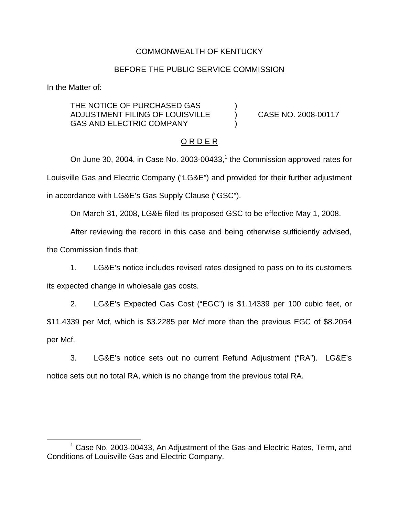## COMMONWEALTH OF KENTUCKY

# BEFORE THE PUBLIC SERVICE COMMISSION

In the Matter of:

THE NOTICE OF PURCHASED GAS ADJUSTMENT FILING OF LOUISVILLE ) CASE NO. 2008-00117 GAS AND ELECTRIC COMPANY

# O R D E R

On June 30, 2004, in Case No. 2003-00433, $<sup>1</sup>$  the Commission approved rates for</sup> Louisville Gas and Electric Company ("LG&E") and provided for their further adjustment in accordance with LG&E's Gas Supply Clause ("GSC").

On March 31, 2008, LG&E filed its proposed GSC to be effective May 1, 2008.

After reviewing the record in this case and being otherwise sufficiently advised,

the Commission finds that:

1. LG&E's notice includes revised rates designed to pass on to its customers its expected change in wholesale gas costs.

2. LG&E's Expected Gas Cost ("EGC") is \$1.14339 per 100 cubic feet, or \$11.4339 per Mcf, which is \$3.2285 per Mcf more than the previous EGC of \$8.2054 per Mcf.

3. LG&E's notice sets out no current Refund Adjustment ("RA"). LG&E's notice sets out no total RA, which is no change from the previous total RA.

<sup>&</sup>lt;sup>1</sup> Case No. 2003-00433, An Adjustment of the Gas and Electric Rates, Term, and Conditions of Louisville Gas and Electric Company.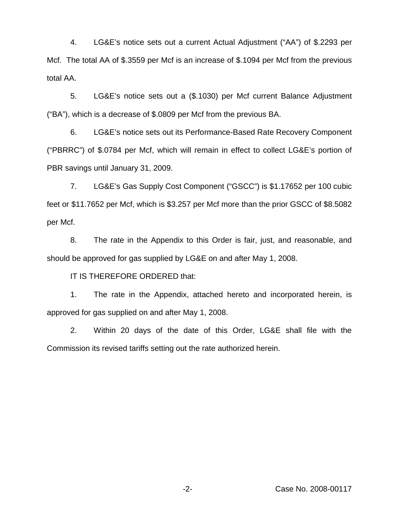4. LG&E's notice sets out a current Actual Adjustment ("AA") of \$.2293 per Mcf. The total AA of \$.3559 per Mcf is an increase of \$.1094 per Mcf from the previous total AA.

5. LG&E's notice sets out a (\$.1030) per Mcf current Balance Adjustment ("BA"), which is a decrease of \$.0809 per Mcf from the previous BA.

6. LG&E's notice sets out its Performance-Based Rate Recovery Component ("PBRRC") of \$.0784 per Mcf, which will remain in effect to collect LG&E's portion of PBR savings until January 31, 2009.

7. LG&E's Gas Supply Cost Component ("GSCC") is \$1.17652 per 100 cubic feet or \$11.7652 per Mcf, which is \$3.257 per Mcf more than the prior GSCC of \$8.5082 per Mcf.

8. The rate in the Appendix to this Order is fair, just, and reasonable, and should be approved for gas supplied by LG&E on and after May 1, 2008.

IT IS THEREFORE ORDERED that:

1. The rate in the Appendix, attached hereto and incorporated herein, is approved for gas supplied on and after May 1, 2008.

2. Within 20 days of the date of this Order, LG&E shall file with the Commission its revised tariffs setting out the rate authorized herein.

-2- Case No. 2008-00117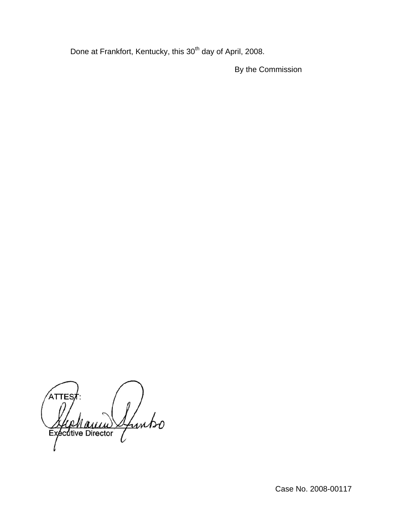Done at Frankfort, Kentucky, this 30<sup>th</sup> day of April, 2008.

By the Commission

ATTES Sfuntso ecutive Director Ex